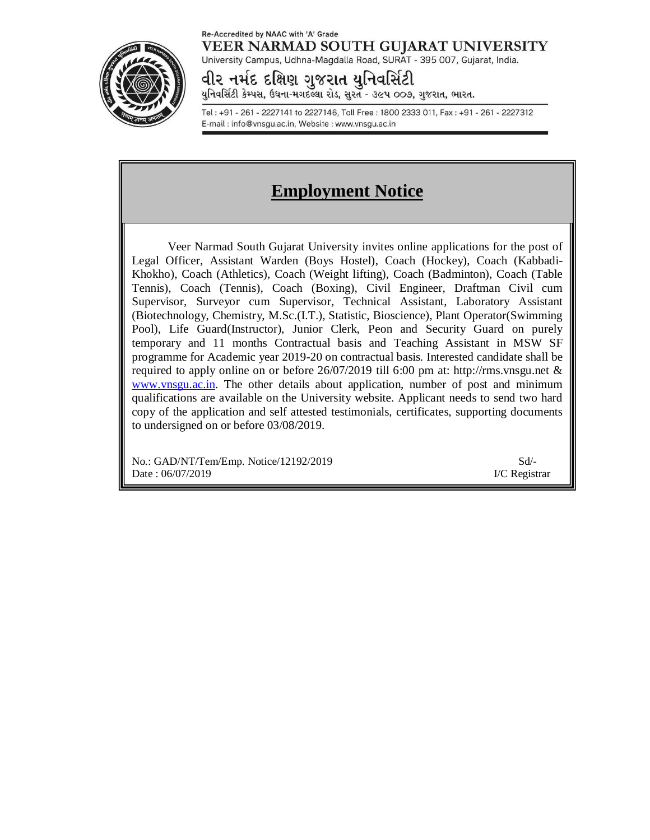#### Re-Accredited by NAAC with 'A' Grade VEER NARMAD SOUTH GUJARAT UNIVERSITY



University Campus, Udhna-Magdalla Road, SURAT - 395 007, Gujarat, India.

વીર નર્મદ દક્ષિણ ગુજરાત યુનિવર્સિટી યુનિવર્સિટી કેમ્પસ, ઉઘના-મગદલ્લા રોડ, સુરત - ૩૯૫ ૦૦૭, ગુજરાત, ભારત.

Tel: +91 - 261 - 2227141 to 2227146, Toll Free: 1800 2333 011, Fax: +91 - 261 - 2227312 E-mail: info@vnsgu.ac.in, Website: www.vnsgu.ac.in

# **Employment Notice**

Veer Narmad South Gujarat University invites online applications for the post of Legal Officer, Assistant Warden (Boys Hostel), Coach (Hockey), Coach (Kabbadi-Khokho), Coach (Athletics), Coach (Weight lifting), Coach (Badminton), Coach (Table Tennis), Coach (Tennis), Coach (Boxing), Civil Engineer, Draftman Civil cum Supervisor, Surveyor cum Supervisor, Technical Assistant, Laboratory Assistant (Biotechnology, Chemistry, M.Sc.(I.T.), Statistic, Bioscience), Plant Operator(Swimming Pool), Life Guard(Instructor), Junior Clerk, Peon and Security Guard on purely temporary and 11 months Contractual basis and Teaching Assistant in MSW SF programme for Academic year 2019-20 on contractual basis. Interested candidate shall be required to apply online on or before 26/07/2019 till 6:00 pm at: <http://rms.vnsgu.net> & [www.vnsgu.ac.in.](http://www.vnsgu.ac.in.) The other details about application, number of post and minimum qualifications are available on the University website. Applicant needs to send two hard copy of the application and self attested testimonials, certificates, supporting documents to undersigned on or before 03/08/2019.

No.: GAD/NT/Tem/Emp. Notice/12192/2019 Sd/- Date : 06/07/2019 **I/C Registrar**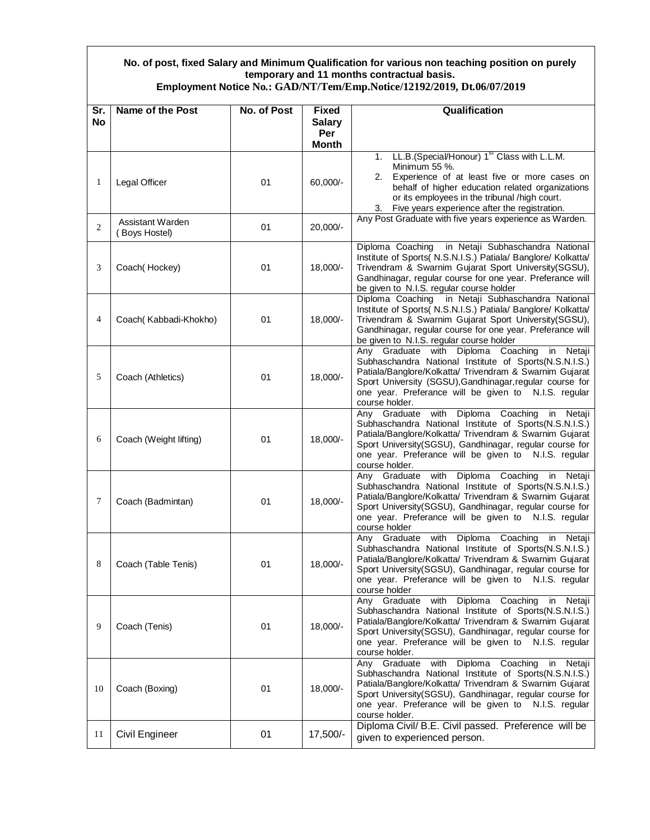## **No. of post, fixed Salary and Minimum Qualification for various non teaching position on purely temporary and 11 months contractual basis.**

| Employment Notice No.: GAD/NT/Tem/Emp.Notice/12192/2019, Dt.06/07/2019 |  |
|------------------------------------------------------------------------|--|
|------------------------------------------------------------------------|--|

| Sr.            | Name of the Post                  | No. of Post | <b>Fixed</b>  | Qualification                                                                                                                                                                                                                                                                                                      |
|----------------|-----------------------------------|-------------|---------------|--------------------------------------------------------------------------------------------------------------------------------------------------------------------------------------------------------------------------------------------------------------------------------------------------------------------|
| <b>No</b>      |                                   |             | <b>Salary</b> |                                                                                                                                                                                                                                                                                                                    |
|                |                                   |             | Per           |                                                                                                                                                                                                                                                                                                                    |
|                |                                   |             | <b>Month</b>  | LL.B.(Special/Honour) 1 <sup>st</sup> Class with L.L.M.<br>1.                                                                                                                                                                                                                                                      |
| $\mathbf{1}$   | Legal Officer                     | 01          | 60,000/-      | Minimum 55 %.<br>Experience of at least five or more cases on<br>2.<br>behalf of higher education related organizations<br>or its employees in the tribunal /high court.<br>Five years experience after the registration.<br>3.                                                                                    |
| $\overline{2}$ | Assistant Warden<br>(Boys Hostel) | 01          | 20,000/-      | Any Post Graduate with five years experience as Warden.                                                                                                                                                                                                                                                            |
| 3              | Coach(Hockey)                     | 01          | 18,000/-      | in Netaji Subhaschandra National<br>Diploma Coaching<br>Institute of Sports( N.S.N.I.S.) Patiala/ Banglore/ Kolkatta/<br>Trivendram & Swarnim Gujarat Sport University(SGSU),<br>Gandhinagar, regular course for one year. Preferance will<br>be given to N.I.S. regular course holder                             |
| 4              | Coach(Kabbadi-Khokho)             | 01          | 18,000/-      | Diploma Coaching in Netaji Subhaschandra National<br>Institute of Sports( N.S.N.I.S.) Patiala/ Banglore/ Kolkatta/<br>Trivendram & Swarnim Gujarat Sport University(SGSU),<br>Gandhinagar, regular course for one year. Preferance will<br>be given to N.I.S. regular course holder                                |
| 5              | Coach (Athletics)                 | 01          | 18,000/-      | Any Graduate with Diploma Coaching<br>in Netaji<br>Subhaschandra National Institute of Sports(N.S.N.I.S.)<br>Patiala/Banglore/Kolkatta/ Trivendram & Swarnim Gujarat<br>Sport University (SGSU), Gandhinagar, regular course for<br>one year. Preferance will be given to N.I.S. regular<br>course holder.         |
| 6              | Coach (Weight lifting)            | 01          | 18,000/-      | Any Graduate with Diploma Coaching<br>in Netaji<br>Subhaschandra National Institute of Sports(N.S.N.I.S.)<br>Patiala/Banglore/Kolkatta/ Trivendram & Swarnim Gujarat<br>Sport University(SGSU), Gandhinagar, regular course for<br>one year. Preferance will be given to N.I.S. regular<br>course holder.          |
| $\tau$         | Coach (Badmintan)                 | 01          | 18,000/-      | Diploma Coaching<br>Any Graduate<br>with<br>Netaji<br>in<br>Subhaschandra National Institute of Sports(N.S.N.I.S.)<br>Patiala/Banglore/Kolkatta/ Trivendram & Swarnim Gujarat<br>Sport University(SGSU), Gandhinagar, regular course for<br>one year. Preferance will be given to N.I.S. regular<br>course holder  |
| 8              | Coach (Table Tenis)               | 01          | 18,000/-      | Any Graduate with<br>Diploma Coaching<br>in<br>Netaji<br>Subhaschandra National Institute of Sports(N.S.N.I.S.)<br>Patiala/Banglore/Kolkatta/ Trivendram & Swarnim Gujarat<br>Sport University(SGSU), Gandhinagar, regular course for<br>one year. Preferance will be given to N.I.S. regular<br>course holder     |
| 9              | Coach (Tenis)                     | 01          | $18,000/-$    | Any Graduate<br>with Diploma Coaching<br>in<br>Netaji<br>Subhaschandra National Institute of Sports(N.S.N.I.S.)<br>Patiala/Banglore/Kolkatta/ Trivendram & Swarnim Gujarat<br>Sport University(SGSU), Gandhinagar, regular course for<br>one year. Preferance will be given to N.I.S. regular<br>course holder.    |
| 10             | Coach (Boxing)                    | 01          | 18,000/-      | Any Graduate<br>Diploma Coaching<br>with<br>Netaji<br>in<br>Subhaschandra National Institute of Sports(N.S.N.I.S.)<br>Patiala/Banglore/Kolkatta/ Trivendram & Swarnim Gujarat<br>Sport University(SGSU), Gandhinagar, regular course for<br>one year. Preferance will be given to N.I.S. regular<br>course holder. |
| 11             | Civil Engineer                    | 01          | 17,500/-      | Diploma Civil/ B.E. Civil passed. Preference will be<br>given to experienced person.                                                                                                                                                                                                                               |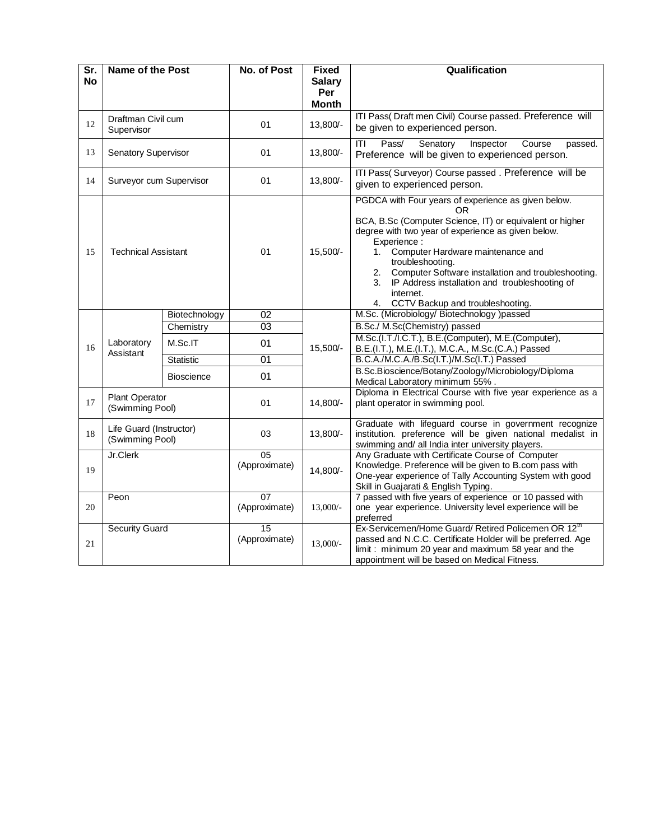| Sr.       | Name of the Post                           |                   | No. of Post                      | <b>Fixed</b>         | Qualification                                                                                                                                                                                                                                                                                                                                                                                                                         |
|-----------|--------------------------------------------|-------------------|----------------------------------|----------------------|---------------------------------------------------------------------------------------------------------------------------------------------------------------------------------------------------------------------------------------------------------------------------------------------------------------------------------------------------------------------------------------------------------------------------------------|
| <b>No</b> |                                            |                   |                                  | <b>Salary</b><br>Per |                                                                                                                                                                                                                                                                                                                                                                                                                                       |
|           |                                            |                   |                                  | <b>Month</b>         |                                                                                                                                                                                                                                                                                                                                                                                                                                       |
| 12        | Draftman Civil cum<br>Supervisor           |                   | 01                               | 13,800/-             | ITI Pass( Draft men Civil) Course passed. Preference will<br>be given to experienced person.                                                                                                                                                                                                                                                                                                                                          |
| 13        | Senatory Supervisor                        |                   | 01                               | 13,800/-             | Pass/<br>Senatory<br>ΙTΙ<br>Inspector<br>Course<br>passed.<br>Preference will be given to experienced person.                                                                                                                                                                                                                                                                                                                         |
| 14        | Surveyor cum Supervisor                    |                   | 01                               | 13,800/-             | ITI Pass(Surveyor) Course passed . Preference will be<br>given to experienced person.                                                                                                                                                                                                                                                                                                                                                 |
| 15        | <b>Technical Assistant</b>                 |                   | 01                               | 15,500/-             | PGDCA with Four years of experience as given below.<br>0R<br>BCA, B.Sc (Computer Science, IT) or equivalent or higher<br>degree with two year of experience as given below.<br>Experience:<br>Computer Hardware maintenance and<br>1.<br>troubleshooting.<br>Computer Software installation and troubleshooting.<br>2.<br>IP Address installation and troubleshooting of<br>3.<br>internet.<br>CCTV Backup and troubleshooting.<br>4. |
|           |                                            | Biotechnology     | 02                               |                      | M.Sc. (Microbiology/ Biotechnology )passed                                                                                                                                                                                                                                                                                                                                                                                            |
|           |                                            | Chemistry         | $\overline{03}$                  |                      | B.Sc./ M.Sc(Chemistry) passed                                                                                                                                                                                                                                                                                                                                                                                                         |
| 16        | Laboratory<br>Assistant                    | M.Sc.IT           | 01                               | $15,500/-$           | M.Sc.(I.T./I.C.T.), B.E.(Computer), M.E.(Computer),<br>B.E.(I.T.), M.E.(I.T.), M.C.A., M.Sc.(C.A.) Passed                                                                                                                                                                                                                                                                                                                             |
|           |                                            | <b>Statistic</b>  | $\overline{01}$                  |                      | B.C.A./M.C.A./B.Sc(I.T.)/M.Sc(I.T.) Passed                                                                                                                                                                                                                                                                                                                                                                                            |
|           |                                            | <b>Bioscience</b> | 01                               |                      | B.Sc.Bioscience/Botany/Zoology/Microbiology/Diploma<br>Medical Laboratory minimum 55%.                                                                                                                                                                                                                                                                                                                                                |
| 17        | Plant Operator<br>(Swimming Pool)          |                   | 01                               | 14,800/-             | Diploma in Electrical Course with five year experience as a<br>plant operator in swimming pool.                                                                                                                                                                                                                                                                                                                                       |
| 18        | Life Guard (Instructor)<br>(Swimming Pool) |                   | 03                               | 13,800/-             | Graduate with lifeguard course in government recognize<br>institution. preference will be given national medalist in<br>swimming and/ all India inter university players.                                                                                                                                                                                                                                                             |
| 19        | Jr.Clerk                                   |                   | 05<br>(Approximate)              | 14,800/-             | Any Graduate with Certificate Course of Computer<br>Knowledge. Preference will be given to B.com pass with<br>One-year experience of Tally Accounting System with good<br>Skill in Guajarati & English Typing.                                                                                                                                                                                                                        |
| 20        | Peon                                       |                   | 07<br>(Approximate)              | $13,000/-$           | 7 passed with five years of experience or 10 passed with<br>one year experience. University level experience will be<br>preferred                                                                                                                                                                                                                                                                                                     |
| 21        | <b>Security Guard</b>                      |                   | $\overline{15}$<br>(Approximate) | $13,000/-$           | Ex-Servicemen/Home Guard/ Retired Policemen OR 12 <sup>m</sup><br>passed and N.C.C. Certificate Holder will be preferred. Age<br>limit: minimum 20 year and maximum 58 year and the<br>appointment will be based on Medical Fitness.                                                                                                                                                                                                  |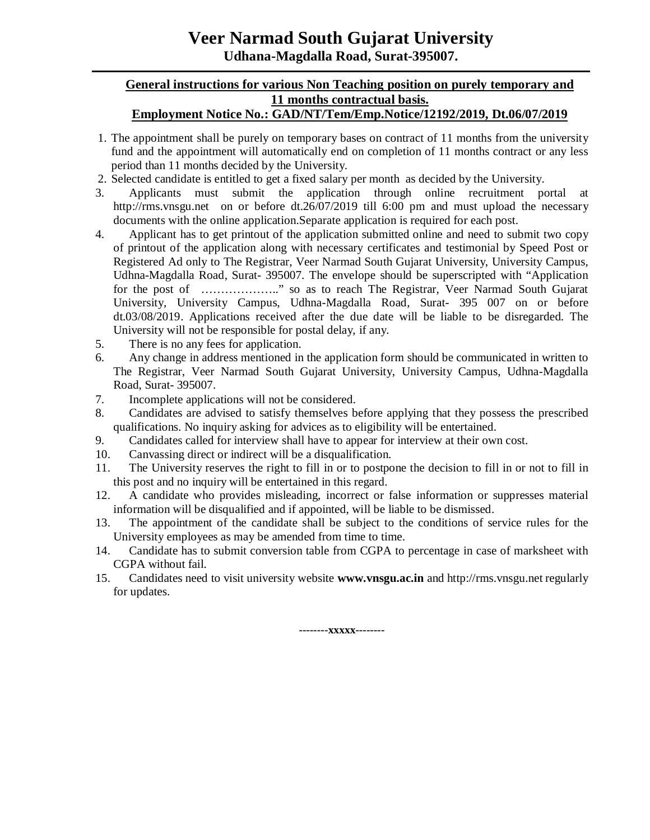## **Veer Narmad South Gujarat University Udhana-Magdalla Road, Surat-395007.**

## **General instructions for various Non Teaching position on purely temporary and 11 months contractual basis.**

## **Employment Notice No.: GAD/NT/Tem/Emp.Notice/12192/2019, Dt.06/07/2019**

- 1. The appointment shall be purely on temporary bases on contract of 11 months from the university fund and the appointment will automatically end on completion of 11 months contract or any less period than 11 months decided by the University.
- 2. Selected candidate is entitled to get a fixed salary per month as decided by the University.
- 3. Applicants must submit the application through online recruitment portal at <http://rms.vnsgu.net>on or before dt.26/07/2019 till 6:00 pm and must upload the necessary documents with the online application.Separate application is required for each post.
- 4. Applicant has to get printout of the application submitted online and need to submit two copy of printout of the application along with necessary certificates and testimonial by Speed Post or Registered Ad only to The Registrar, Veer Narmad South Gujarat University, University Campus, Udhna-Magdalla Road, Surat- 395007. The envelope should be superscripted with "Application for the post of ......................" so as to reach The Registrar, Veer Narmad South Gujarat University, University Campus, Udhna-Magdalla Road, Surat- 395 007 on or before dt.03/08/2019. Applications received after the due date will be liable to be disregarded. The University will not be responsible for postal delay, if any.
- 5. There is no any fees for application.
- 6. Any change in address mentioned in the application form should be communicated in written to The Registrar, Veer Narmad South Gujarat University, University Campus, Udhna-Magdalla Road, Surat- 395007.
- 7. Incomplete applications will not be considered.
- 8. Candidates are advised to satisfy themselves before applying that they possess the prescribed qualifications. No inquiry asking for advices as to eligibility will be entertained.
- 9. Candidates called for interview shall have to appear for interview at their own cost.
- 10. Canvassing direct or indirect will be a disqualification.
- 11. The University reserves the right to fill in or to postpone the decision to fill in or not to fill in this post and no inquiry will be entertained in this regard.
- 12. A candidate who provides misleading, incorrect or false information or suppresses material information will be disqualified and if appointed, will be liable to be dismissed.
- 13. The appointment of the candidate shall be subject to the conditions of service rules for the University employees as may be amended from time to time.
- 14. Candidate has to submit conversion table from CGPA to percentage in case of marksheet with CGPA without fail.
- 15. Candidates need to visit university website **[www.vnsgu.ac.in](http://www.vnsgu.ac.in)** and<http://rms.vnsgu.net> regularly for updates.

**--------xxxxx--------**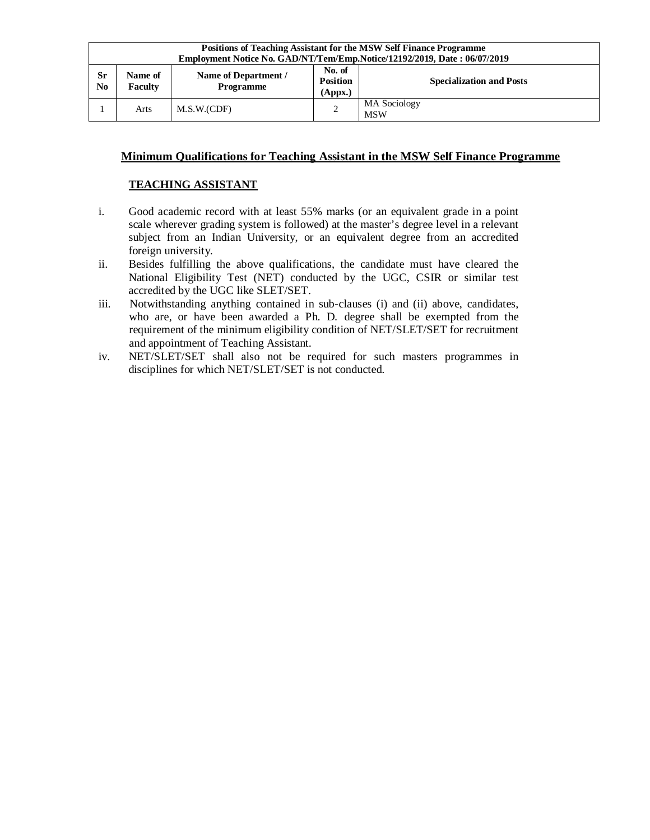| <b>Positions of Teaching Assistant for the MSW Self Finance Programme</b><br>Employment Notice No. GAD/NT/Tem/Emp.Notice/12192/2019, Date: 06/07/2019 |                    |                                   |                                      |                                 |
|-------------------------------------------------------------------------------------------------------------------------------------------------------|--------------------|-----------------------------------|--------------------------------------|---------------------------------|
| Sr<br>N <sub>0</sub>                                                                                                                                  | Name of<br>Faculty | Name of Department /<br>Programme | No. of<br><b>Position</b><br>(Appx.) | <b>Specialization and Posts</b> |
|                                                                                                                                                       | Arts               | M.S.W.(CDF)                       | 2                                    | MA Sociology<br><b>MSW</b>      |

#### **Minimum Qualifications for Teaching Assistant in the MSW Self Finance Programme**

#### **TEACHING ASSISTANT**

- i. Good academic record with at least 55% marks (or an equivalent grade in a point scale wherever grading system is followed) at the master's degree level in a relevant subject from an Indian University, or an equivalent degree from an accredited foreign university.
- ii. Besides fulfilling the above qualifications, the candidate must have cleared the National Eligibility Test (NET) conducted by the UGC, CSIR or similar test accredited by the UGC like SLET/SET.
- iii. Notwithstanding anything contained in sub-clauses (i) and (ii) above, candidates, who are, or have been awarded a Ph. D*.* degree shall be exempted from the requirement of the minimum eligibility condition of NET/SLET/SET for recruitment and appointment of Teaching Assistant.
- iv. NET/SLET/SET shall also not be required for such masters programmes in disciplines for which NET/SLET/SET is not conducted.